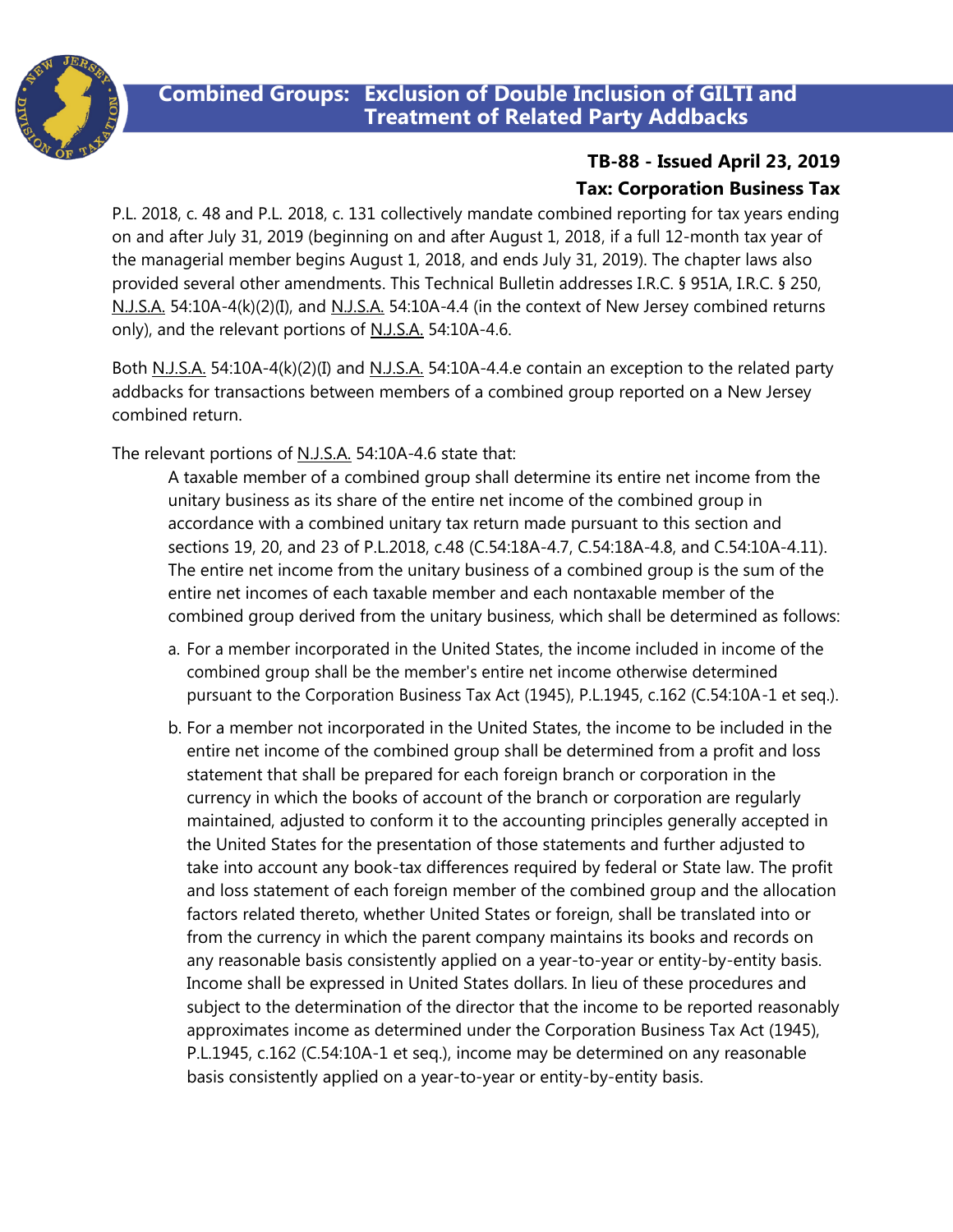

## **Combined Groups: Exclusion of Double Inclusion of GILTI and Treatment of Related Party Addbacks**

# **TB-88 - Issued April 23, 2019**

## **Tax: Corporation Business Tax**

P.L. 2018, c. 48 and P.L. 2018, c. 131 collectively mandate combined reporting for tax years ending on and after July 31, 2019 (beginning on and after August 1, 2018, if a full 12-month tax year of the managerial member begins August 1, 2018, and ends July 31, 2019). The chapter laws also provided several other amendments. This Technical Bulletin addresses I.R.C. § 951A, I.R.C. § 250, N.J.S.A. 54:10A-4(k)(2)(I), and N.J.S.A. 54:10A-4.4 (in the context of New Jersey combined returns only), and the relevant portions of N.J.S.A. 54:10A-4.6.

Both N.J.S.A. 54:10A-4(k)(2)(I) and N.J.S.A. 54:10A-4.4.e contain an exception to the related party addbacks for transactions between members of a combined group reported on a New Jersey combined return.

The relevant portions of N.J.S.A. 54:10A-4.6 state that:

A taxable member of a combined group shall determine its entire net income from the unitary business as its share of the entire net income of the combined group in accordance with a combined unitary tax return made pursuant to this section and sections 19, 20, and 23 of P.L.2018, c.48 (C.54:18A-4.7, C.54:18A-4.8, and C.54:10A-4.11). The entire net income from the unitary business of a combined group is the sum of the entire net incomes of each taxable member and each nontaxable member of the combined group derived from the unitary business, which shall be determined as follows:

- a. For a member incorporated in the United States, the income included in income of the combined group shall be the member's entire net income otherwise determined pursuant to the Corporation Business Tax Act (1945), P.L.1945, c.162 (C.54:10A-1 et seq.).
- b. For a member not incorporated in the United States, the income to be included in the entire net income of the combined group shall be determined from a profit and loss statement that shall be prepared for each foreign branch or corporation in the currency in which the books of account of the branch or corporation are regularly maintained, adjusted to conform it to the accounting principles generally accepted in the United States for the presentation of those statements and further adjusted to take into account any book-tax differences required by federal or State law. The profit and loss statement of each foreign member of the combined group and the allocation factors related thereto, whether United States or foreign, shall be translated into or from the currency in which the parent company maintains its books and records on any reasonable basis consistently applied on a year-to-year or entity-by-entity basis. Income shall be expressed in United States dollars. In lieu of these procedures and subject to the determination of the director that the income to be reported reasonably approximates income as determined under the Corporation Business Tax Act (1945), P.L.1945, c.162 (C.54:10A-1 et seq.), income may be determined on any reasonable basis consistently applied on a year-to-year or entity-by-entity basis.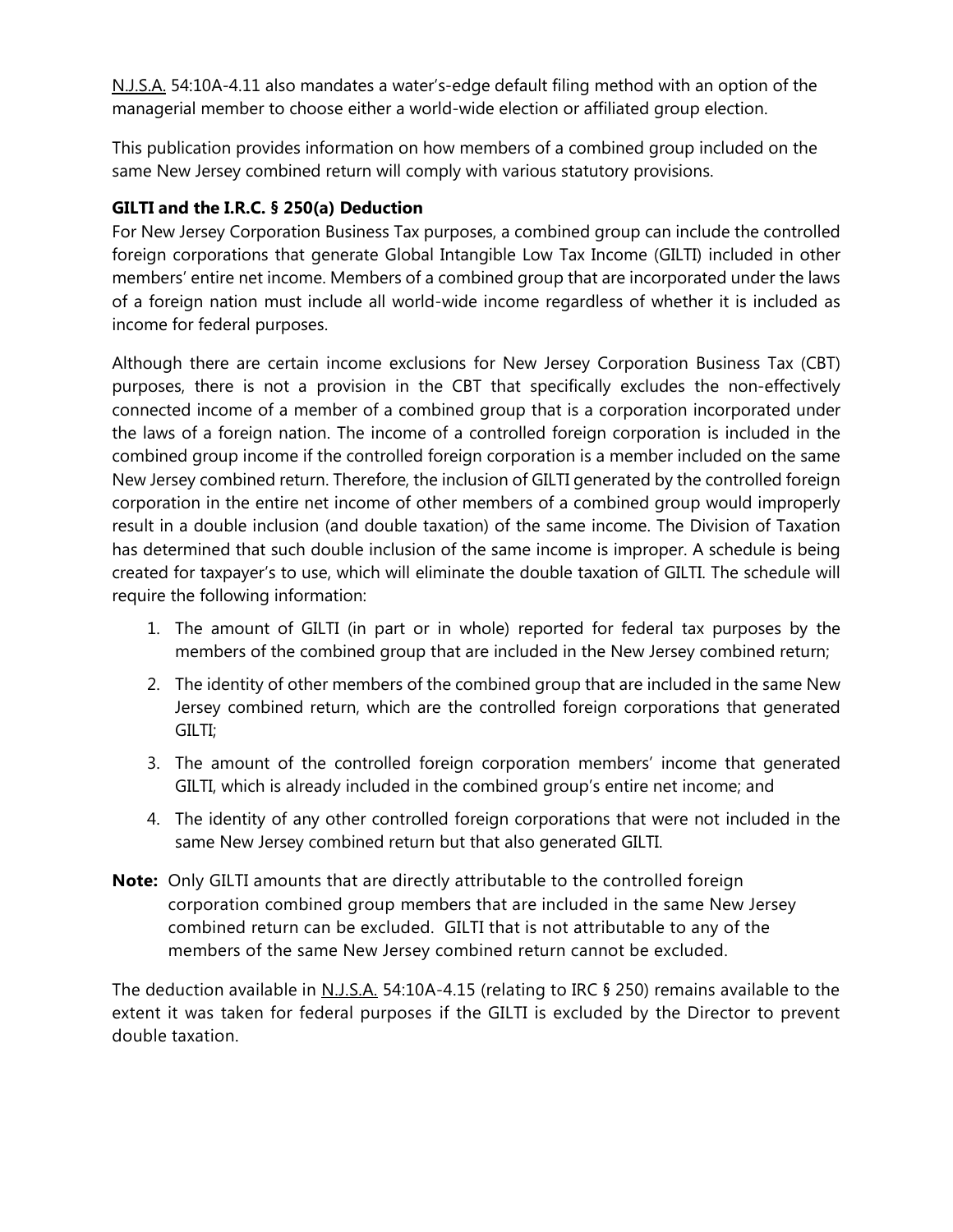N.J.S.A. 54:10A-4.11 also mandates a water's-edge default filing method with an option of the managerial member to choose either a world-wide election or affiliated group election.

This publication provides information on how members of a combined group included on the same New Jersey combined return will comply with various statutory provisions.

#### **GILTI and the I.R.C. § 250(a) Deduction**

For New Jersey Corporation Business Tax purposes, a combined group can include the controlled foreign corporations that generate Global Intangible Low Tax Income (GILTI) included in other members' entire net income. Members of a combined group that are incorporated under the laws of a foreign nation must include all world-wide income regardless of whether it is included as income for federal purposes.

Although there are certain income exclusions for New Jersey Corporation Business Tax (CBT) purposes, there is not a provision in the CBT that specifically excludes the non-effectively connected income of a member of a combined group that is a corporation incorporated under the laws of a foreign nation. The income of a controlled foreign corporation is included in the combined group income if the controlled foreign corporation is a member included on the same New Jersey combined return. Therefore, the inclusion of GILTI generated by the controlled foreign corporation in the entire net income of other members of a combined group would improperly result in a double inclusion (and double taxation) of the same income. The Division of Taxation has determined that such double inclusion of the same income is improper. A schedule is being created for taxpayer's to use, which will eliminate the double taxation of GILTI. The schedule will require the following information:

- 1. The amount of GILTI (in part or in whole) reported for federal tax purposes by the members of the combined group that are included in the New Jersey combined return;
- 2. The identity of other members of the combined group that are included in the same New Jersey combined return, which are the controlled foreign corporations that generated GILTI;
- 3. The amount of the controlled foreign corporation members' income that generated GILTI, which is already included in the combined group's entire net income; and
- 4. The identity of any other controlled foreign corporations that were not included in the same New Jersey combined return but that also generated GILTI.
- **Note:** Only GILTI amounts that are directly attributable to the controlled foreign corporation combined group members that are included in the same New Jersey combined return can be excluded. GILTI that is not attributable to any of the members of the same New Jersey combined return cannot be excluded.

The deduction available in N.J.S.A. 54:10A-4.15 (relating to IRC § 250) remains available to the extent it was taken for federal purposes if the GILTI is excluded by the Director to prevent double taxation.